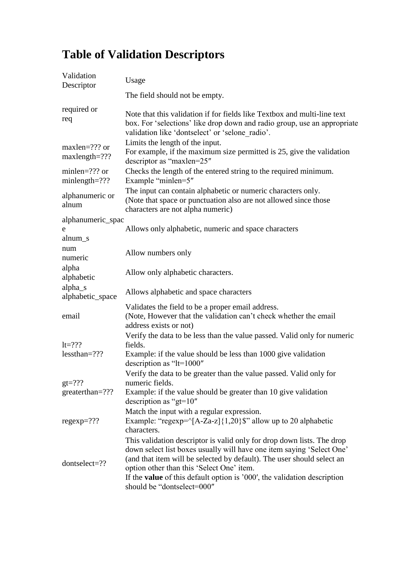## **Table of Validation Descriptors**

| Validation<br>Descriptor             | Usage                                                                                                                                                                                                                                                                                                                                                                                   |  |
|--------------------------------------|-----------------------------------------------------------------------------------------------------------------------------------------------------------------------------------------------------------------------------------------------------------------------------------------------------------------------------------------------------------------------------------------|--|
|                                      | The field should not be empty.                                                                                                                                                                                                                                                                                                                                                          |  |
| required or<br>req                   | Note that this validation if for fields like Textbox and multi-line text<br>box. For 'selections' like drop down and radio group, use an appropriate<br>validation like 'dontselect' or 'selone radio'.                                                                                                                                                                                 |  |
| $maxlen=???$ or<br>$maxlength=??$ ?  | Limits the length of the input.<br>For example, if the maximum size permitted is 25, give the validation<br>descriptor as "maxlen=25"                                                                                                                                                                                                                                                   |  |
| minlen= $??$ ? or<br>$minlength=???$ | Checks the length of the entered string to the required minimum.<br>Example "minlen=5"                                                                                                                                                                                                                                                                                                  |  |
| alphanumeric or<br>alnum             | The input can contain alphabetic or numeric characters only.<br>(Note that space or punctuation also are not allowed since those<br>characters are not alpha numeric)                                                                                                                                                                                                                   |  |
| alphanumeric_spac                    |                                                                                                                                                                                                                                                                                                                                                                                         |  |
| e                                    | Allows only alphabetic, numeric and space characters                                                                                                                                                                                                                                                                                                                                    |  |
| alnum_s<br>num<br>numeric            | Allow numbers only                                                                                                                                                                                                                                                                                                                                                                      |  |
| alpha<br>alphabetic                  | Allow only alphabetic characters.                                                                                                                                                                                                                                                                                                                                                       |  |
| alpha_s<br>alphabetic_space          | Allows alphabetic and space characters                                                                                                                                                                                                                                                                                                                                                  |  |
| email                                | Validates the field to be a proper email address.<br>(Note, However that the validation can't check whether the email<br>address exists or not)                                                                                                                                                                                                                                         |  |
| $lt=???$<br>$less than = ?$ ??       | Verify the data to be less than the value passed. Valid only for numeric<br>fields.<br>Example: if the value should be less than 1000 give validation<br>description as "lt=1000"                                                                                                                                                                                                       |  |
| $gt=?$ ??<br>greaterthan=???         | Verify the data to be greater than the value passed. Valid only for<br>numeric fields.<br>Example: if the value should be greater than 10 give validation<br>description as " $gt=10$ "                                                                                                                                                                                                 |  |
| $regexp=???$                         | Match the input with a regular expression.<br>Example: "regexp= $\frac{A-Za-z}{1,20}$ ; allow up to 20 alphabetic<br>characters.                                                                                                                                                                                                                                                        |  |
| dontselect=??                        | This validation descriptor is valid only for drop down lists. The drop<br>down select list boxes usually will have one item saying 'Select One'<br>(and that item will be selected by default). The user should select an<br>option other than this 'Select One' item.<br>If the <b>value</b> of this default option is '000', the validation description<br>should be "dontselect=000" |  |